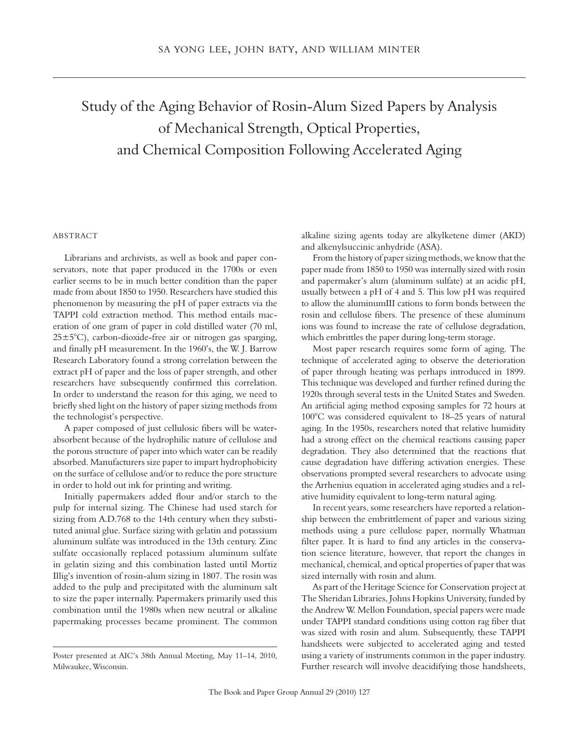## Study of the Aging Behavior of Rosin-Alum Sized Papers by Analysis of Mechanical Strength, Optical Properties, and Chemical Composition Following Accelerated Aging

## **ABSTRACT**

Librarians and archivists, as well as book and paper conservators, note that paper produced in the 1700s or even earlier seems to be in much better condition than the paper made from about 1850 to 1950. Researchers have studied this phenomenon by measuring the pH of paper extracts via the TAPPI cold extraction method. This method entails maceration of one gram of paper in cold distilled water (70 ml, 25±5°C), carbon-dioxide-free air or nitrogen gas sparging, and finally pH measurement. In the 1960's, the W. J. Barrow Research Laboratory found a strong correlation between the extract pH of paper and the loss of paper strength, and other researchers have subsequently confirmed this correlation. In order to understand the reason for this aging, we need to briefly shed light on the history of paper sizing methods from the technologist's perspective.

A paper composed of just cellulosic fibers will be waterabsorbent because of the hydrophilic nature of cellulose and the porous structure of paper into which water can be readily absorbed. Manufacturers size paper to impart hydrophobicity on the surface of cellulose and/or to reduce the pore structure in order to hold out ink for printing and writing.

Initially papermakers added flour and/or starch to the pulp for internal sizing. The Chinese had used starch for sizing from A.D.768 to the 14th century when they substituted animal glue. Surface sizing with gelatin and potassium aluminum sulfate was introduced in the 13th century. Zinc sulfate occasionally replaced potassium aluminum sulfate in gelatin sizing and this combination lasted until Mortiz Illig's invention of rosin-alum sizing in 1807. The rosin was added to the pulp and precipitated with the aluminum salt to size the paper internally. Papermakers primarily used this combination until the 1980s when new neutral or alkaline papermaking processes became prominent. The common alkaline sizing agents today are alkylketene dimer (AKD) and alkenylsuccinic anhydride (ASA).

From the history of paper sizing methods, we know that the paper made from 1850 to 1950 was internally sized with rosin and papermaker's alum (aluminum sulfate) at an acidic pH, usually between a pH of 4 and 5. This low pH was required to allow the aluminumIII cations to form bonds between the rosin and cellulose fibers. The presence of these aluminum ions was found to increase the rate of cellulose degradation, which embrittles the paper during long-term storage.

Most paper research requires some form of aging. The technique of accelerated aging to observe the deterioration of paper through heating was perhaps introduced in 1899. This technique was developed and further refined during the 1920s through several tests in the United States and Sweden. An artificial aging method exposing samples for 72 hours at 100°C was considered equivalent to 18–25 years of natural aging. In the 1950s, researchers noted that relative humidity had a strong effect on the chemical reactions causing paper degradation. They also determined that the reactions that cause degradation have differing activation energies. These observations prompted several researchers to advocate using the Arrhenius equation in accelerated aging studies and a relative humidity equivalent to long-term natural aging.

In recent years, some researchers have reported a relationship between the embrittlement of paper and various sizing methods using a pure cellulose paper, normally Whatman filter paper. It is hard to find any articles in the conservation science literature, however, that report the changes in mechanical, chemical, and optical properties of paper that was sized internally with rosin and alum.

As part of the Heritage Science for Conservation project at The Sheridan Libraries, Johns Hopkins University, funded by the Andrew W. Mellon Foundation, special papers were made under TAPPI standard conditions using cotton rag fiber that was sized with rosin and alum. Subsequently, these TAPPI handsheets were subjected to accelerated aging and tested using a variety of instruments common in the paper industry. Further research will involve deacidifying those handsheets,

Poster presented at AIC's 38th Annual Meeting, May 11–14, 2010, Milwaukee, Wisconsin.